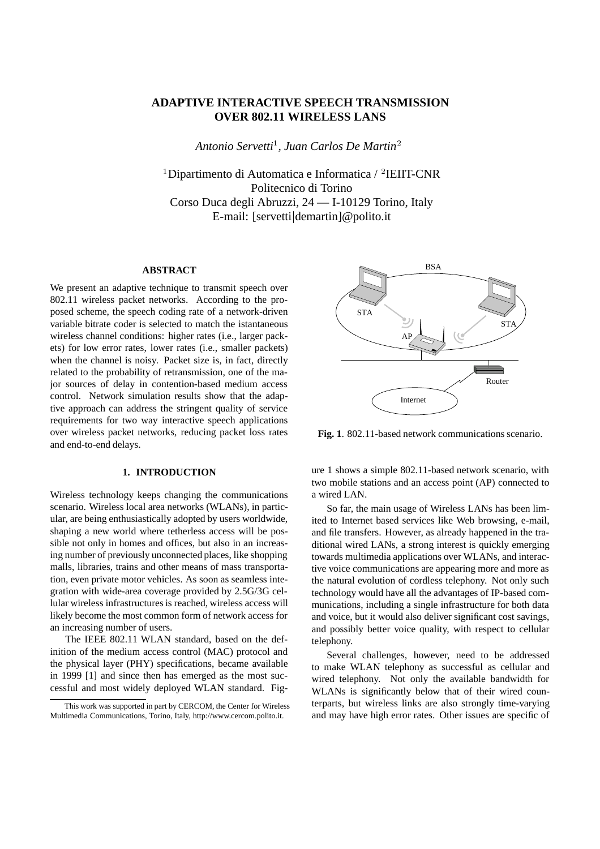# **ADAPTIVE INTERACTIVE SPEECH TRANSMISSION OVER 802.11 WIRELESS LANS**

*Antonio Servetti*<sup>1</sup> *, Juan Carlos De Martin*<sup>2</sup>

<sup>1</sup>Dipartimento di Automatica e Informatica / <sup>2</sup>IEIIT-CNR Politecnico di Torino Corso Duca degli Abruzzi, 24 — I-10129 Torino, Italy E-mail: [servettijdemartin]@polito.it

## **ABSTRACT**

We present an adaptive technique to transmit speech over 802.11 wireless packet networks. According to the proposed scheme, the speech coding rate of a network-driven variable bitrate coder is selected to match the istantaneous wireless channel conditions: higher rates (i.e., larger packets) for low error rates, lower rates (i.e., smaller packets) when the channel is noisy. Packet size is, in fact, directly related to the probability of retransmission, one of the major sources of delay in contention-based medium access control. Network simulation results show that the adaptive approach can address the stringent quality of service requirements for two way interactive speech applications over wireless packet networks, reducing packet loss rates and end-to-end delays.

## **1. INTRODUCTION**

Wireless technology keeps changing the communications scenario. Wireless local area networks (WLANs), in particular, are being enthusiastically adopted by users worldwide, shaping a new world where tetherless access will be possible not only in homes and offices, but also in an increasing number of previously unconnected places, like shopping malls, libraries, trains and other means of mass transportation, even private motor vehicles. As soon as seamless integration with wide-area coverage provided by 2.5G/3G cellular wireless infrastructures is reached, wireless access will likely become the most common form of network access for an increasing number of users.

The IEEE 802.11 WLAN standard, based on the definition of the medium access control (MAC) protocol and the physical layer (PHY) specifications, became available in 1999 [1] and since then has emerged as the most successful and most widely deployed WLAN standard. Fig-



**Fig. 1**. 802.11-based network communications scenario.

ure 1 shows a simple 802.11-based network scenario, with two mobile stations and an access point (AP) connected to a wired LAN.

So far, the main usage of Wireless LANs has been limited to Internet based services like Web browsing, e-mail, and file transfers. However, as already happened in the traditional wired LANs, a strong interest is quickly emerging towards multimedia applications over WLANs, and interactive voice communications are appearing more and more as the natural evolution of cordless telephony. Not only such technology would have all the advantages of IP-based communications, including a single infrastructure for both data and voice, but it would also deliver significant cost savings, and possibly better voice quality, with respect to cellular telephony.

Several challenges, however, need to be addressed to make WLAN telephony as successful as cellular and wired telephony. Not only the available bandwidth for WLANs is significantly below that of their wired counterparts, but wireless links are also strongly time-varying and may have high error rates. Other issues are specific of

This work was supported in part by CERCOM, the Center for Wireless Multimedia Communications, Torino, Italy, http://www.cercom.polito.it.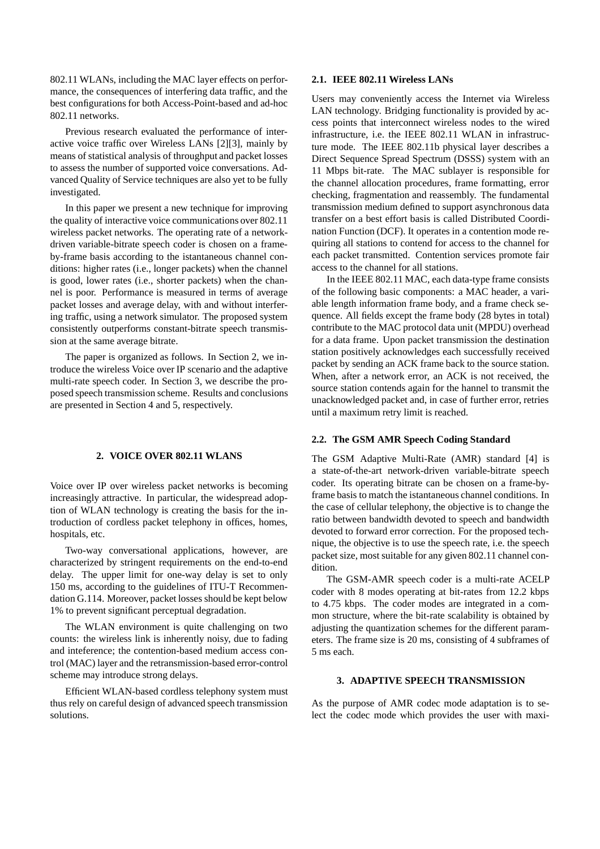802.11 WLANs, including the MAC layer effects on performance, the consequences of interfering data traffic, and the best configurations for both Access-Point-based and ad-hoc 802.11 networks.

Previous research evaluated the performance of interactive voice traffic over Wireless LANs [2][3], mainly by means of statistical analysis of throughput and packet losses to assess the number of supported voice conversations. Advanced Quality of Service techniques are also yet to be fully investigated.

In this paper we present a new technique for improving the quality of interactive voice communications over 802.11 wireless packet networks. The operating rate of a networkdriven variable-bitrate speech coder is chosen on a frameby-frame basis according to the istantaneous channel conditions: higher rates (i.e., longer packets) when the channel is good, lower rates (i.e., shorter packets) when the channel is poor. Performance is measured in terms of average packet losses and average delay, with and without interfering traffic, using a network simulator. The proposed system consistently outperforms constant-bitrate speech transmission at the same average bitrate.

The paper is organized as follows. In Section 2, we introduce the wireless Voice over IP scenario and the adaptive multi-rate speech coder. In Section 3, we describe the proposed speech transmission scheme. Results and conclusions are presented in Section 4 and 5, respectively.

#### **2. VOICE OVER 802.11 WLANS**

Voice over IP over wireless packet networks is becoming increasingly attractive. In particular, the widespread adoption of WLAN technology is creating the basis for the introduction of cordless packet telephony in offices, homes, hospitals, etc.

Two-way conversational applications, however, are characterized by stringent requirements on the end-to-end delay. The upper limit for one-way delay is set to only 150 ms, according to the guidelines of ITU-T Recommendation G.114. Moreover, packet losses should be kept below 1% to prevent significant perceptual degradation.

The WLAN environment is quite challenging on two counts: the wireless link is inherently noisy, due to fading and inteference; the contention-based medium access control (MAC) layer and the retransmission-based error-control scheme may introduce strong delays.

Efficient WLAN-based cordless telephony system must thus rely on careful design of advanced speech transmission solutions.

#### **2.1. IEEE 802.11 Wireless LANs**

Users may conveniently access the Internet via Wireless LAN technology. Bridging functionality is provided by access points that interconnect wireless nodes to the wired infrastructure, i.e. the IEEE 802.11 WLAN in infrastructure mode. The IEEE 802.11b physical layer describes a Direct Sequence Spread Spectrum (DSSS) system with an 11 Mbps bit-rate. The MAC sublayer is responsible for the channel allocation procedures, frame formatting, error checking, fragmentation and reassembly. The fundamental transmission medium defined to support asynchronous data transfer on a best effort basis is called Distributed Coordination Function (DCF). It operates in a contention mode requiring all stations to contend for access to the channel for each packet transmitted. Contention services promote fair access to the channel for all stations.

In the IEEE 802.11 MAC, each data-type frame consists of the following basic components: a MAC header, a variable length information frame body, and a frame check sequence. All fields except the frame body (28 bytes in total) contribute to the MAC protocol data unit (MPDU) overhead for a data frame. Upon packet transmission the destination station positively acknowledges each successfully received packet by sending an ACK frame back to the source station. When, after a network error, an ACK is not received, the source station contends again for the hannel to transmit the unacknowledged packet and, in case of further error, retries until a maximum retry limit is reached.

## **2.2. The GSM AMR Speech Coding Standard**

The GSM Adaptive Multi-Rate (AMR) standard [4] is a state-of-the-art network-driven variable-bitrate speech coder. Its operating bitrate can be chosen on a frame-byframe basis to match the istantaneous channel conditions. In the case of cellular telephony, the objective is to change the ratio between bandwidth devoted to speech and bandwidth devoted to forward error correction. For the proposed technique, the objective is to use the speech rate, i.e. the speech packet size, most suitable for any given 802.11 channel condition.

The GSM-AMR speech coder is a multi-rate ACELP coder with 8 modes operating at bit-rates from 12.2 kbps to 4.75 kbps. The coder modes are integrated in a common structure, where the bit-rate scalability is obtained by adjusting the quantization schemes for the different parameters. The frame size is 20 ms, consisting of 4 subframes of 5 ms each.

## **3. ADAPTIVE SPEECH TRANSMISSION**

As the purpose of AMR codec mode adaptation is to select the codec mode which provides the user with maxi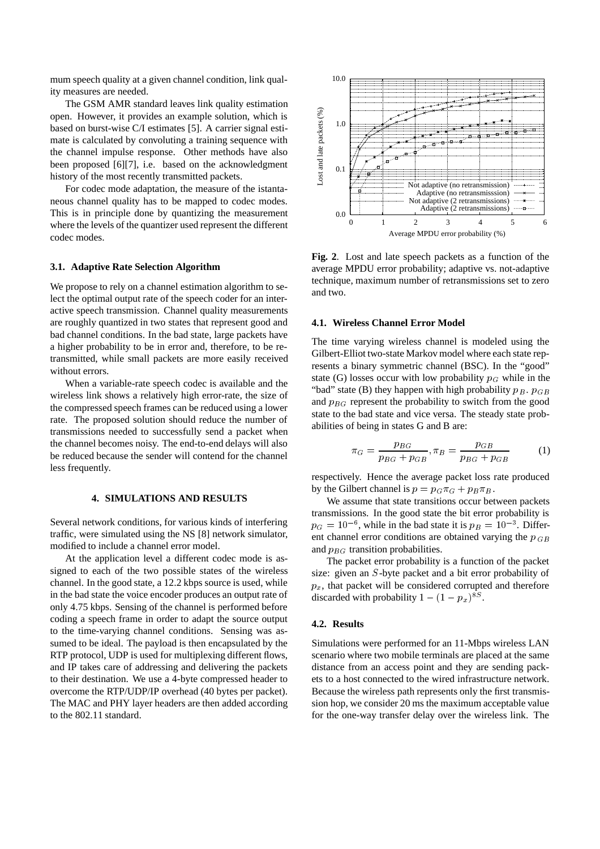mum speech quality at a given channel condition, link quality measures are needed.

The GSM AMR standard leaves link quality estimation open. However, it provides an example solution, which is based on burst-wise C/I estimates [5]. A carrier signal estimate is calculated by convoluting a training sequence with the channel impulse response. Other methods have also been proposed [6][7], i.e. based on the acknowledgment history of the most recently transmitted packets.

For codec mode adaptation, the measure of the istantaneous channel quality has to be mapped to codec modes. This is in principle done by quantizing the measurement where the levels of the quantizer used represent the different codec modes.

#### **3.1. Adaptive Rate Selection Algorithm**

We propose to rely on a channel estimation algorithm to select the optimal output rate of the speech coder for an interactive speech transmission. Channel quality measurements are roughly quantized in two states that represent good and bad channel conditions. In the bad state, large packets have a higher probability to be in error and, therefore, to be retransmitted, while small packets are more easily received without errors.

When a variable-rate speech codec is available and the wireless link shows a relatively high error-rate, the size of the compressed speech frames can be reduced using a lower rate. The proposed solution should reduce the number of transmissions needed to successfully send a packet when the channel becomes noisy. The end-to-end delays will also be reduced because the sender will contend for the channel less frequently.

#### **4. SIMULATIONS AND RESULTS**

Several network conditions, for various kinds of interfering traffic, were simulated using the NS [8] network simulator, modified to include a channel error model.

At the application level a different codec mode is assigned to each of the two possible states of the wireless channel. In the good state, a 12.2 kbps source is used, while in the bad state the voice encoder produces an output rate of only 4.75 kbps. Sensing of the channel is performed before coding a speech frame in order to adapt the source output to the time-varying channel conditions. Sensing was assumed to be ideal. The payload is then encapsulated by the RTP protocol, UDP is used for multiplexing different flows, and IP takes care of addressing and delivering the packets to their destination. We use a 4-byte compressed header to overcome the RTP/UDP/IP overhead (40 bytes per packet). The MAC and PHY layer headers are then added according to the 802.11 standard.



**Fig. 2**. Lost and late speech packets as a function of the average MPDU error probability; adaptive vs. not-adaptive technique, maximum number of retransmissions set to zero and two.

#### **4.1. Wireless Channel Error Model**

The time varying wireless channel is modeled using the Gilbert-Elliot two-state Markov model where each state represents a binary symmetric channel (BSC). In the "good" state (G) losses occur with low probability  $p<sub>G</sub>$  while in the "bad" state (B) they happen with high probability  $p_B$ .  $p_{GB}$ and  $p_{BG}$  represent the probability to switch from the good state to the bad state and vice versa. The steady state probabilities of being in states G and B are:

$$
\pi_G = \frac{p_{BG}}{p_{BG} + p_{GB}}, \pi_B = \frac{p_{GB}}{p_{BG} + p_{GB}}\tag{1}
$$

respectively. Hence the average packet loss rate produced by the Gilbert channel is  $p = p<sub>G</sub>\pi$ <sub>G</sub> +  $p<sub>B</sub>\pi$ <sub>B</sub>.

We assume that state transitions occur between packets transmissions. In the good state the bit error probability is  $p_G = 10^{-6}$ , while in the bad state it is  $p_B = 10^{-3}$ . Different channel error conditions are obtained varying the  $p_{GB}$ and  $p_{BG}$  transition probabilities.

The packet error probability is a function of the packet size: given an <sup>S</sup>-byte packet and a bit error probability of  $p_x$ , that packet will be considered corrupted and therefore discarded with probability  $1 - (1 - p_x)^{8S}$ .

## **4.2. Results**

Simulations were performed for an 11-Mbps wireless LAN scenario where two mobile terminals are placed at the same distance from an access point and they are sending packets to a host connected to the wired infrastructure network. Because the wireless path represents only the first transmission hop, we consider 20 ms the maximum acceptable value for the one-way transfer delay over the wireless link. The